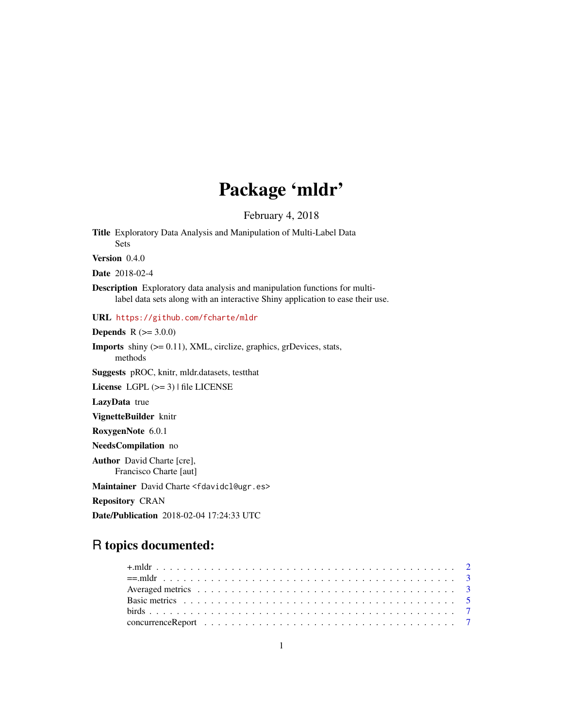## Package 'mldr'

February 4, 2018

<span id="page-0-0"></span>Title Exploratory Data Analysis and Manipulation of Multi-Label Data Sets

Version 0.4.0

Date 2018-02-4

Description Exploratory data analysis and manipulation functions for multilabel data sets along with an interactive Shiny application to ease their use.

URL <https://github.com/fcharte/mldr>

**Depends** R  $(>= 3.0.0)$ 

**Imports** shiny  $(>= 0.11)$ , XML, circlize, graphics, grDevices, stats, methods

Suggests pROC, knitr, mldr.datasets, testthat

License LGPL (>= 3) | file LICENSE

LazyData true

VignetteBuilder knitr

RoxygenNote 6.0.1

NeedsCompilation no

Author David Charte [cre], Francisco Charte [aut]

Maintainer David Charte <fdavidcl@ugr.es>

Repository CRAN

Date/Publication 2018-02-04 17:24:33 UTC

## R topics documented: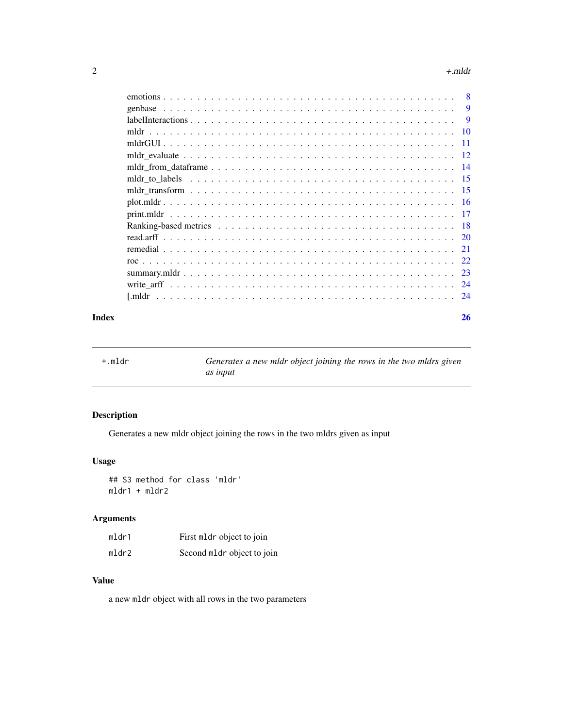#### <span id="page-1-0"></span> $2 \rightarrow +m$

|  |  |  |  |  | -8       |
|--|--|--|--|--|----------|
|  |  |  |  |  | 9        |
|  |  |  |  |  | <b>9</b> |
|  |  |  |  |  | -10      |
|  |  |  |  |  | $-11$    |
|  |  |  |  |  |          |
|  |  |  |  |  |          |
|  |  |  |  |  |          |
|  |  |  |  |  |          |
|  |  |  |  |  |          |
|  |  |  |  |  |          |
|  |  |  |  |  | - 18     |
|  |  |  |  |  |          |
|  |  |  |  |  |          |
|  |  |  |  |  |          |
|  |  |  |  |  |          |
|  |  |  |  |  |          |
|  |  |  |  |  |          |
|  |  |  |  |  |          |

#### **Index** [26](#page-25-0)

<span id="page-1-1"></span>+.mldr *Generates a new mldr object joining the rows in the two mldrs given as input*

## Description

Generates a new mldr object joining the rows in the two mldrs given as input

## Usage

## S3 method for class 'mldr' mldr1 + mldr2

## Arguments

| mldr1 | First mldr object to join  |
|-------|----------------------------|
| mldr2 | Second mldr object to join |

## Value

a new mldr object with all rows in the two parameters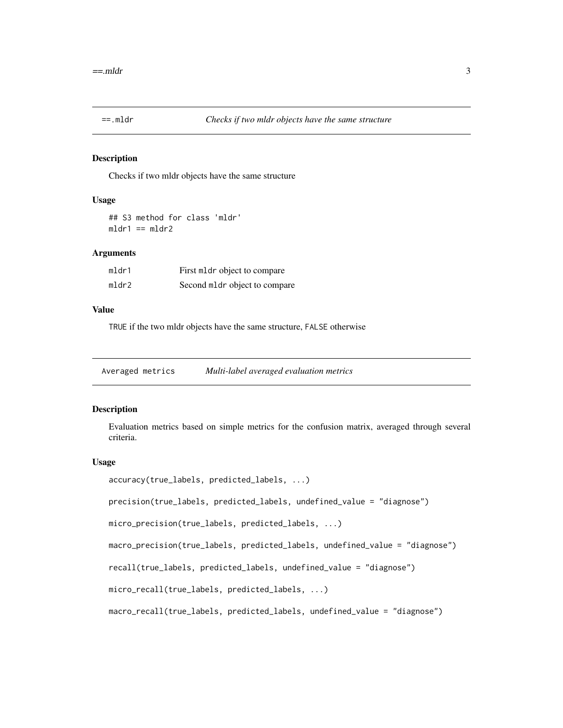<span id="page-2-2"></span><span id="page-2-0"></span>

#### Description

Checks if two mldr objects have the same structure

#### Usage

## S3 method for class 'mldr'  $mldr1 == mldr2$ 

## Arguments

| mldr1 | First mldr object to compare  |
|-------|-------------------------------|
| mldr2 | Second mldr object to compare |

#### Value

TRUE if the two mldr objects have the same structure, FALSE otherwise

<span id="page-2-1"></span>Averaged metrics *Multi-label averaged evaluation metrics*

## Description

Evaluation metrics based on simple metrics for the confusion matrix, averaged through several criteria.

#### Usage

```
accuracy(true_labels, predicted_labels, ...)
```
precision(true\_labels, predicted\_labels, undefined\_value = "diagnose")

```
micro_precision(true_labels, predicted_labels, ...)
```
macro\_precision(true\_labels, predicted\_labels, undefined\_value = "diagnose")

recall(true\_labels, predicted\_labels, undefined\_value = "diagnose")

micro\_recall(true\_labels, predicted\_labels, ...)

macro\_recall(true\_labels, predicted\_labels, undefined\_value = "diagnose")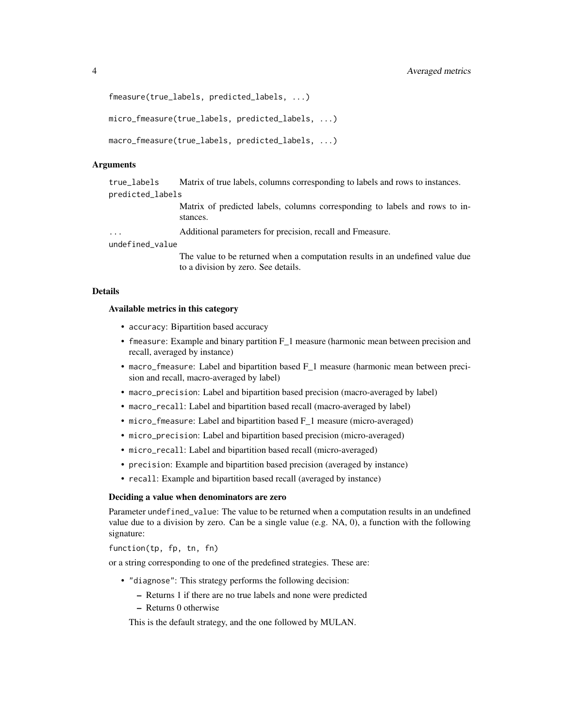```
fmeasure(true_labels, predicted_labels, ...)
```
micro\_fmeasure(true\_labels, predicted\_labels, ...)

```
macro_fmeasure(true_labels, predicted_labels, ...)
```
#### Arguments

true\_labels Matrix of true labels, columns corresponding to labels and rows to instances. predicted\_labels

> Matrix of predicted labels, columns corresponding to labels and rows to instances.

Additional parameters for precision, recall and Fmeasure.

#### undefined\_value

The value to be returned when a computation results in an undefined value due to a division by zero. See details.

#### Details

#### Available metrics in this category

- accuracy: Bipartition based accuracy
- fmeasure: Example and binary partition F<sub>1</sub> measure (harmonic mean between precision and recall, averaged by instance)
- macro\_fmeasure: Label and bipartition based F 1 measure (harmonic mean between precision and recall, macro-averaged by label)
- macro\_precision: Label and bipartition based precision (macro-averaged by label)
- macro\_recall: Label and bipartition based recall (macro-averaged by label)
- micro\_fmeasure: Label and bipartition based F\_1 measure (micro-averaged)
- micro\_precision: Label and bipartition based precision (micro-averaged)
- micro\_recall: Label and bipartition based recall (micro-averaged)
- precision: Example and bipartition based precision (averaged by instance)
- recall: Example and bipartition based recall (averaged by instance)

#### Deciding a value when denominators are zero

Parameter undefined\_value: The value to be returned when a computation results in an undefined value due to a division by zero. Can be a single value (e.g. NA, 0), a function with the following signature:

function(tp, fp, tn, fn)

or a string corresponding to one of the predefined strategies. These are:

- "diagnose": This strategy performs the following decision:
	- Returns 1 if there are no true labels and none were predicted
	- Returns 0 otherwise

This is the default strategy, and the one followed by MULAN.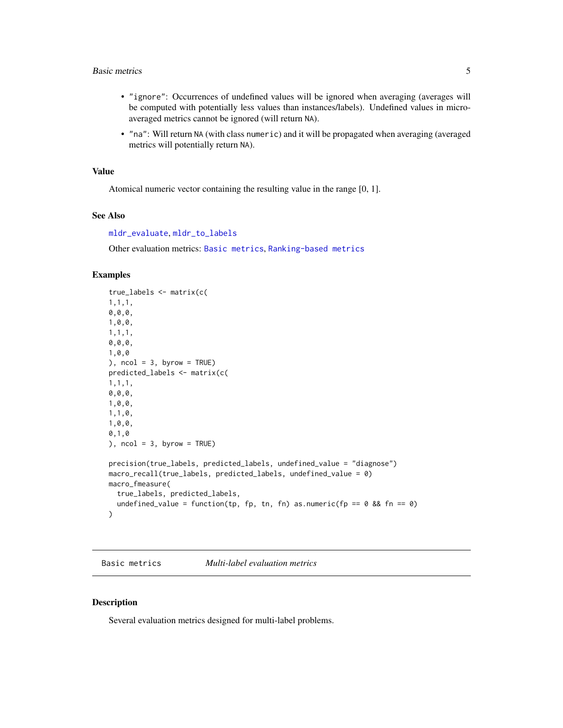#### <span id="page-4-0"></span>Basic metrics 5

- "ignore": Occurrences of undefined values will be ignored when averaging (averages will be computed with potentially less values than instances/labels). Undefined values in microaveraged metrics cannot be ignored (will return NA).
- "na": Will return NA (with class numeric) and it will be propagated when averaging (averaged metrics will potentially return NA).

### Value

Atomical numeric vector containing the resulting value in the range [0, 1].

#### See Also

[mldr\\_evaluate](#page-11-1), [mldr\\_to\\_labels](#page-14-1)

Other evaluation metrics: [Basic metrics](#page-0-0), [Ranking-based metrics](#page-0-0)

#### Examples

```
true_labels <- matrix(c(
1,1,1,
0,0,0,
1,0,0,
1,1,1,
0,0,0,
1,0,0
), ncol = 3, byrow = TRUE)
predicted_labels <- matrix(c(
1,1,1,
0,0,0,
1,0,0,
1,1,0,
1,0,0,
0,1,0
), ncol = 3, byrow = TRUE)
precision(true_labels, predicted_labels, undefined_value = "diagnose")
macro_recall(true_labels, predicted_labels, undefined_value = 0)
macro_fmeasure(
  true_labels, predicted_labels,
  undefined_value = function(tp, fp, tn, fn) as.numeric(fp == 0 && fn == 0)
)
```
<span id="page-4-1"></span>Basic metrics *Multi-label evaluation metrics*

## Description

Several evaluation metrics designed for multi-label problems.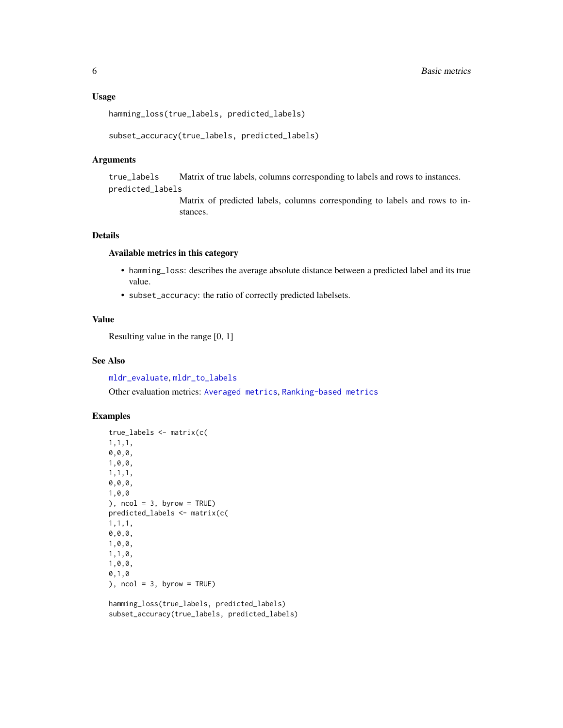#### <span id="page-5-0"></span>Usage

hamming\_loss(true\_labels, predicted\_labels)

```
subset_accuracy(true_labels, predicted_labels)
```
### Arguments

true\_labels Matrix of true labels, columns corresponding to labels and rows to instances. predicted\_labels

> Matrix of predicted labels, columns corresponding to labels and rows to instances.

#### Details

## Available metrics in this category

- hamming\_loss: describes the average absolute distance between a predicted label and its true value.
- subset\_accuracy: the ratio of correctly predicted labelsets.

## Value

Resulting value in the range [0, 1]

#### See Also

[mldr\\_evaluate](#page-11-1), [mldr\\_to\\_labels](#page-14-1)

Other evaluation metrics: [Averaged metrics](#page-0-0), [Ranking-based metrics](#page-0-0)

## Examples

```
true_labels <- matrix(c(
1,1,1,
0,0,0,
1,0,0,
1,1,1,
0,0,0,
1,0,0
), ncol = 3, byrow = TRUE)
predicted_labels <- matrix(c(
1,1,1,
0,0,0,
1,0,0,
1,1,0,
1,0,0,
0,1,0
), ncol = 3, byrow = TRUE)
```
hamming\_loss(true\_labels, predicted\_labels) subset\_accuracy(true\_labels, predicted\_labels)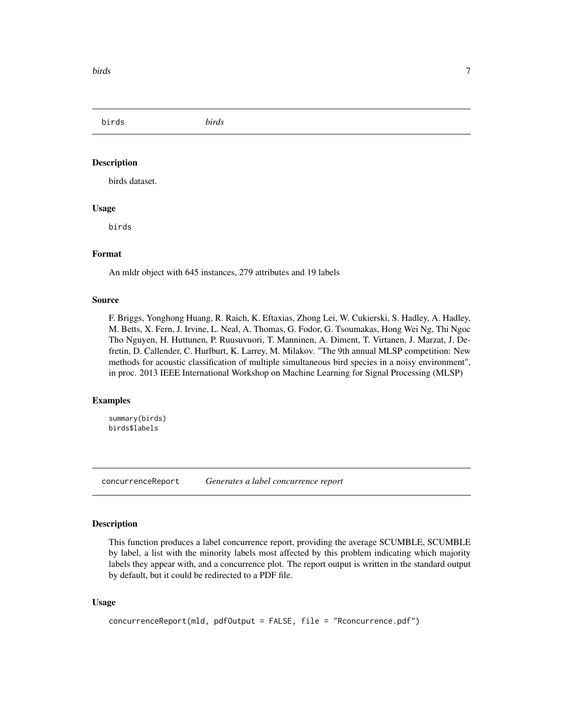<span id="page-6-0"></span>birds *birds*

#### **Description**

birds dataset.

### Usage

birds

#### Format

An mldr object with 645 instances, 279 attributes and 19 labels

#### Source

F. Briggs, Yonghong Huang, R. Raich, K. Eftaxias, Zhong Lei, W. Cukierski, S. Hadley, A. Hadley, M. Betts, X. Fern, J. Irvine, L. Neal, A. Thomas, G. Fodor, G. Tsoumakas, Hong Wei Ng, Thi Ngoc Tho Nguyen, H. Huttunen, P. Ruusuvuori, T. Manninen, A. Diment, T. Virtanen, J. Marzat, J. Defretin, D. Callender, C. Hurlburt, K. Larrey, M. Milakov. "The 9th annual MLSP competition: New methods for acoustic classification of multiple simultaneous bird species in a noisy environment", in proc. 2013 IEEE International Workshop on Machine Learning for Signal Processing (MLSP)

#### Examples

summary(birds) birds\$labels

<span id="page-6-1"></span>concurrenceReport *Generates a label concurrence report*

#### Description

This function produces a label concurrence report, providing the average SCUMBLE, SCUMBLE by label, a list with the minority labels most affected by this problem indicating which majority labels they appear with, and a concurrence plot. The report output is written in the standard output by default, but it could be redirected to a PDF file.

#### Usage

```
concurrenceReport(mld, pdfOutput = FALSE, file = "Rconcurrence.pdf")
```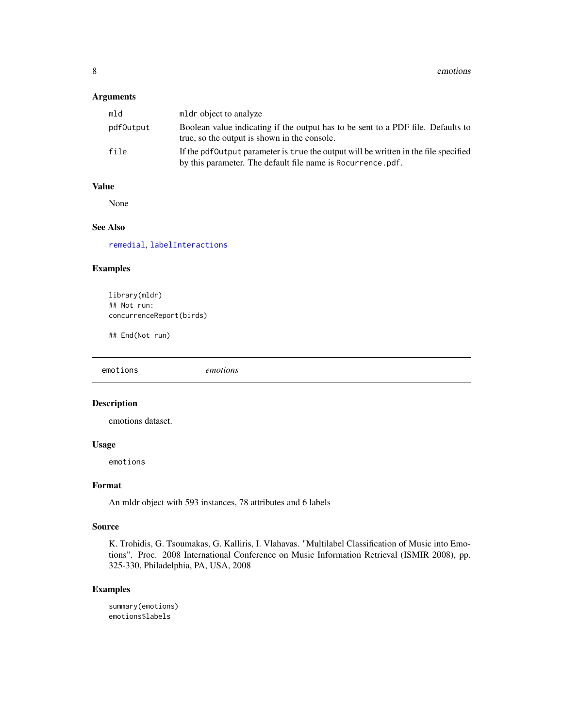<span id="page-7-0"></span>8 emotions and the set of the set of the set of the set of the set of the set of the set of the set of the set of the set of the set of the set of the set of the set of the set of the set of the set of the set of the set o

## Arguments

| mld       | mldr object to analyze                                                                                                                              |
|-----------|-----------------------------------------------------------------------------------------------------------------------------------------------------|
| pdf0utput | Boolean value indicating if the output has to be sent to a PDF file. Defaults to<br>true, so the output is shown in the console.                    |
| file      | If the pdf0utput parameter is true the output will be written in the file specified<br>by this parameter. The default file name is Rocurrence, pdf. |

## Value

None

## See Also

[remedial](#page-20-1), [labelInteractions](#page-8-1)

## Examples

library(mldr) ## Not run: concurrenceReport(birds)

## End(Not run)

emotions *emotions*

## Description

emotions dataset.

## Usage

emotions

#### Format

An mldr object with 593 instances, 78 attributes and 6 labels

#### Source

K. Trohidis, G. Tsoumakas, G. Kalliris, I. Vlahavas. "Multilabel Classification of Music into Emotions". Proc. 2008 International Conference on Music Information Retrieval (ISMIR 2008), pp. 325-330, Philadelphia, PA, USA, 2008

## Examples

summary(emotions) emotions\$labels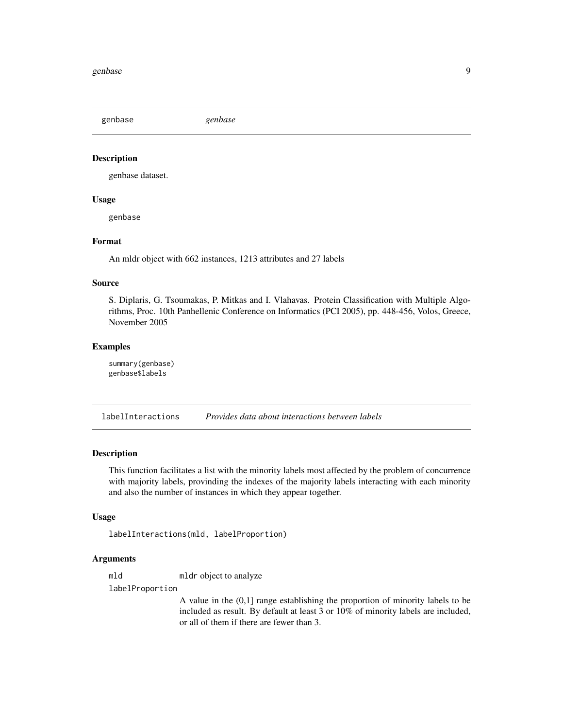<span id="page-8-0"></span>genbase *genbase*

#### Description

genbase dataset.

#### Usage

genbase

## Format

An mldr object with 662 instances, 1213 attributes and 27 labels

#### Source

S. Diplaris, G. Tsoumakas, P. Mitkas and I. Vlahavas. Protein Classification with Multiple Algorithms, Proc. 10th Panhellenic Conference on Informatics (PCI 2005), pp. 448-456, Volos, Greece, November 2005

#### Examples

summary(genbase) genbase\$labels

<span id="page-8-1"></span>labelInteractions *Provides data about interactions between labels*

#### Description

This function facilitates a list with the minority labels most affected by the problem of concurrence with majority labels, provinding the indexes of the majority labels interacting with each minority and also the number of instances in which they appear together.

#### Usage

labelInteractions(mld, labelProportion)

#### Arguments

mld mldr object to analyze

labelProportion

A value in the (0,1] range establishing the proportion of minority labels to be included as result. By default at least 3 or 10% of minority labels are included, or all of them if there are fewer than 3.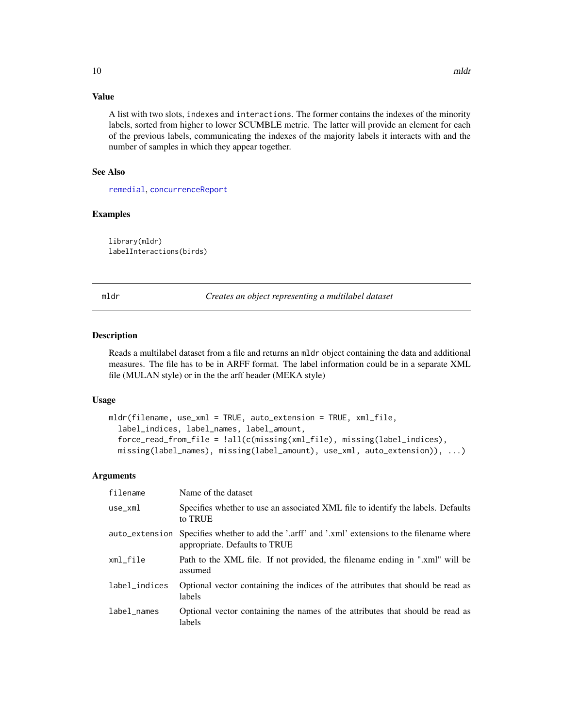## <span id="page-9-0"></span>Value

A list with two slots, indexes and interactions. The former contains the indexes of the minority labels, sorted from higher to lower SCUMBLE metric. The latter will provide an element for each of the previous labels, communicating the indexes of the majority labels it interacts with and the number of samples in which they appear together.

## See Also

[remedial](#page-20-1), [concurrenceReport](#page-6-1)

#### Examples

library(mldr) labelInteractions(birds)

<span id="page-9-1"></span>mldr *Creates an object representing a multilabel dataset*

#### Description

Reads a multilabel dataset from a file and returns an mldr object containing the data and additional measures. The file has to be in ARFF format. The label information could be in a separate XML file (MULAN style) or in the the arff header (MEKA style)

#### Usage

```
mldr(filename, use_xml = TRUE, auto_extension = TRUE, xml_file,
  label_indices, label_names, label_amount,
  force_read_from_file = !all(c(missing(xml_file), missing(label_indices),
 missing(label_names), missing(label_amount), use_xml, auto_extension)), ...)
```
#### Arguments

| filename       | Name of the dataset                                                                                               |
|----------------|-------------------------------------------------------------------------------------------------------------------|
| $use\_xm1$     | Specifies whether to use an associated XML file to identify the labels. Defaults<br>to TRUE                       |
| auto_extension | Specifies whether to add the '.arff' and '.xml' extensions to the filename where<br>appropriate. Defaults to TRUE |
| xml_file       | Path to the XML file. If not provided, the filename ending in ".xml" will be<br>assumed                           |
| label_indices  | Optional vector containing the indices of the attributes that should be read as<br>labels                         |
| label_names    | Optional vector containing the names of the attributes that should be read as<br>labels                           |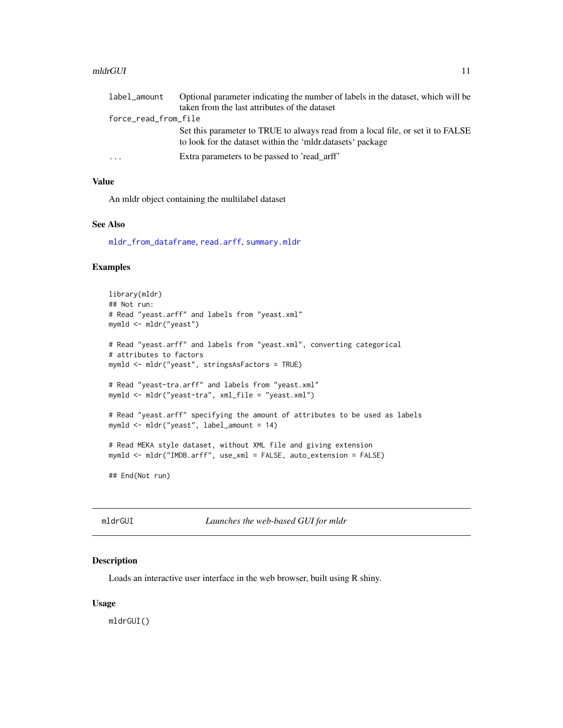#### <span id="page-10-0"></span>mldrGUI 11

| label_amount         | Optional parameter indicating the number of labels in the dataset, which will be                                                              |
|----------------------|-----------------------------------------------------------------------------------------------------------------------------------------------|
|                      | taken from the last attributes of the dataset                                                                                                 |
| force_read_from_file |                                                                                                                                               |
|                      | Set this parameter to TRUE to always read from a local file, or set it to FALSE<br>to look for the dataset within the 'mldr.datasets' package |
| $\cdots$             | Extra parameters to be passed to 'read arff'                                                                                                  |

## Value

An mldr object containing the multilabel dataset

## See Also

[mldr\\_from\\_dataframe](#page-13-1), [read.arff](#page-19-1), [summary.mldr](#page-22-1)

## Examples

```
library(mldr)
## Not run:
# Read "yeast.arff" and labels from "yeast.xml"
mymld <- mldr("yeast")
# Read "yeast.arff" and labels from "yeast.xml", converting categorical
# attributes to factors
mymld <- mldr("yeast", stringsAsFactors = TRUE)
# Read "yeast-tra.arff" and labels from "yeast.xml"
mymld <- mldr("yeast-tra", xml_file = "yeast.xml")
# Read "yeast.arff" specifying the amount of attributes to be used as labels
mymld <- mldr("yeast", label_amount = 14)
# Read MEKA style dataset, without XML file and giving extension
mymld <- mldr("IMDB.arff", use_xml = FALSE, auto_extension = FALSE)
## End(Not run)
```
mldrGUI *Launches the web-based GUI for mldr*

### Description

Loads an interactive user interface in the web browser, built using R shiny.

#### Usage

mldrGUI()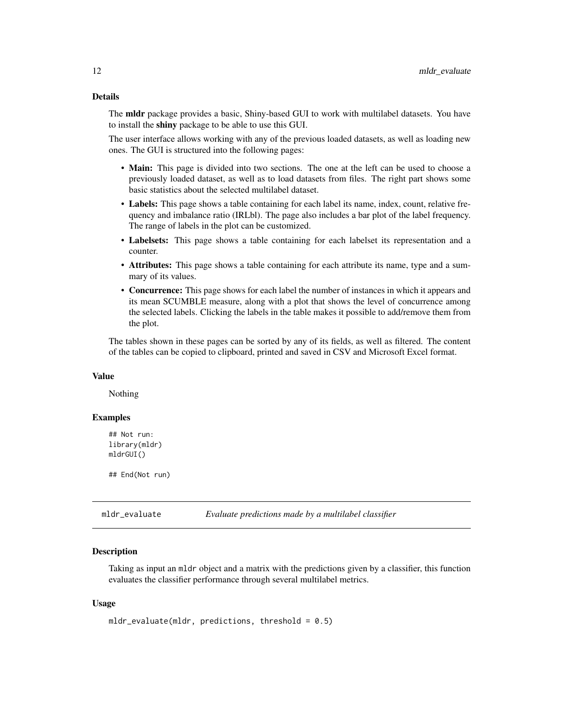## <span id="page-11-0"></span>Details

The **mldr** package provides a basic, Shiny-based GUI to work with multilabel datasets. You have to install the shiny package to be able to use this GUI.

The user interface allows working with any of the previous loaded datasets, as well as loading new ones. The GUI is structured into the following pages:

- Main: This page is divided into two sections. The one at the left can be used to choose a previously loaded dataset, as well as to load datasets from files. The right part shows some basic statistics about the selected multilabel dataset.
- Labels: This page shows a table containing for each label its name, index, count, relative frequency and imbalance ratio (IRLbl). The page also includes a bar plot of the label frequency. The range of labels in the plot can be customized.
- Labelsets: This page shows a table containing for each labelset its representation and a counter.
- Attributes: This page shows a table containing for each attribute its name, type and a summary of its values.
- Concurrence: This page shows for each label the number of instances in which it appears and its mean SCUMBLE measure, along with a plot that shows the level of concurrence among the selected labels. Clicking the labels in the table makes it possible to add/remove them from the plot.

The tables shown in these pages can be sorted by any of its fields, as well as filtered. The content of the tables can be copied to clipboard, printed and saved in CSV and Microsoft Excel format.

#### Value

Nothing

#### Examples

```
## Not run:
library(mldr)
mldrGUI()
```
## End(Not run)

<span id="page-11-1"></span>mldr\_evaluate *Evaluate predictions made by a multilabel classifier*

## Description

Taking as input an mldr object and a matrix with the predictions given by a classifier, this function evaluates the classifier performance through several multilabel metrics.

#### Usage

```
mldr_evaluate(mldr, predictions, threshold = 0.5)
```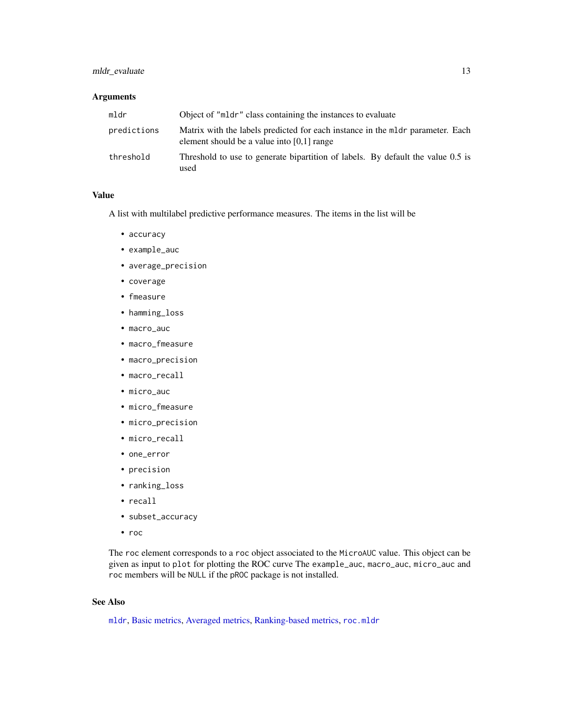## <span id="page-12-0"></span>mldr\_evaluate 13

## Arguments

| mldr        | Object of "mldr" class containing the instances to evaluate                                                                    |
|-------------|--------------------------------------------------------------------------------------------------------------------------------|
| predictions | Matrix with the labels predicted for each instance in the mldr parameter. Each<br>element should be a value into $[0,1]$ range |
| threshold   | Threshold to use to generate bipartition of labels. By default the value 0.5 is<br>used                                        |

#### Value

A list with multilabel predictive performance measures. The items in the list will be

- accuracy
- example\_auc
- average\_precision
- coverage
- fmeasure
- hamming\_loss
- macro\_auc
- macro\_fmeasure
- macro\_precision
- macro\_recall
- micro\_auc
- micro\_fmeasure
- micro\_precision
- micro\_recall
- one\_error
- precision
- ranking\_loss
- recall
- subset\_accuracy
- roc

The roc element corresponds to a roc object associated to the MicroAUC value. This object can be given as input to plot for plotting the ROC curve The example\_auc, macro\_auc, micro\_auc and roc members will be NULL if the pROC package is not installed.

## See Also

[mldr](#page-9-1), [Basic metrics,](#page-4-1) [Averaged metrics,](#page-2-1) [Ranking-based metrics,](#page-17-1) [roc.mldr](#page-21-1)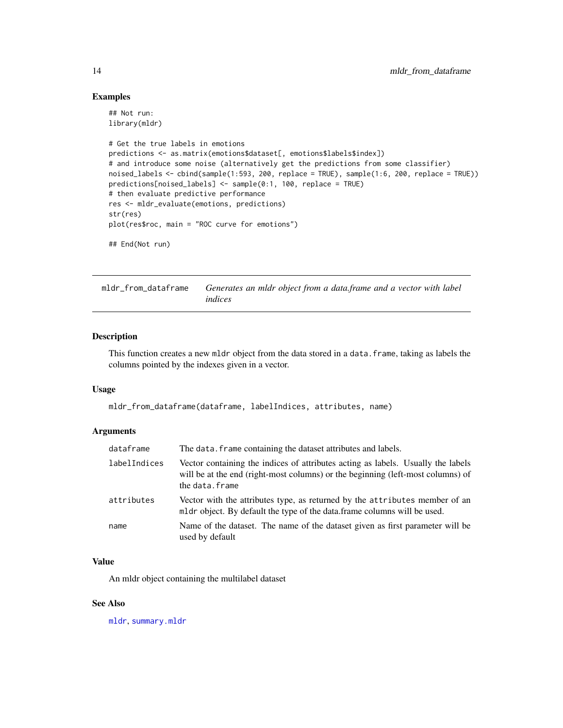#### Examples

```
## Not run:
library(mldr)
# Get the true labels in emotions
predictions <- as.matrix(emotions$dataset[, emotions$labels$index])
# and introduce some noise (alternatively get the predictions from some classifier)
noised_labels <- cbind(sample(1:593, 200, replace = TRUE), sample(1:6, 200, replace = TRUE))
predictions[noised_labels] <- sample(0:1, 100, replace = TRUE)
# then evaluate predictive performance
res <- mldr_evaluate(emotions, predictions)
str(res)
plot(res$roc, main = "ROC curve for emotions")
## End(Not run)
```
<span id="page-13-1"></span>mldr\_from\_dataframe *Generates an mldr object from a data.frame and a vector with label indices*

## Description

This function creates a new mldr object from the data stored in a data.frame, taking as labels the columns pointed by the indexes given in a vector.

#### Usage

mldr\_from\_dataframe(dataframe, labelIndices, attributes, name)

#### Arguments

| dataframe    | The data. frame containing the dataset attributes and labels.                                                                                                                         |
|--------------|---------------------------------------------------------------------------------------------------------------------------------------------------------------------------------------|
| labelIndices | Vector containing the indices of attributes acting as labels. Usually the labels<br>will be at the end (right-most columns) or the beginning (left-most columns) of<br>the data.frame |
| attributes   | Vector with the attributes type, as returned by the attributes member of an<br>mldr object. By default the type of the data.frame columns will be used.                               |
| name         | Name of the dataset. The name of the dataset given as first parameter will be<br>used by default                                                                                      |

#### Value

An mldr object containing the multilabel dataset

#### See Also

[mldr](#page-9-1), [summary.mldr](#page-22-1)

<span id="page-13-0"></span>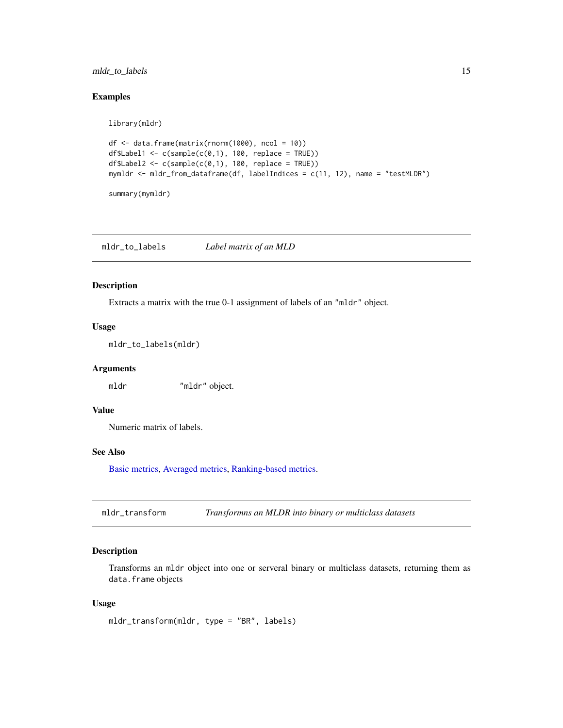## <span id="page-14-0"></span>mldr\_to\_labels 15

#### Examples

library(mldr)

```
df <- data.frame(matrix(rnorm(1000), ncol = 10))
df$Label1 <- c(sample(c(\theta,1), 100, replace = TRUE))df$Label2 <- c(sample(c(0,1), 100, replace = TRUE))
mymldr <- mldr_from_dataframe(df, labelIndices = c(11, 12), name = "testMLDR")
```

```
summary(mymldr)
```
<span id="page-14-1"></span>mldr\_to\_labels *Label matrix of an MLD*

#### Description

Extracts a matrix with the true 0-1 assignment of labels of an "mldr" object.

#### Usage

mldr\_to\_labels(mldr)

### Arguments

mldr "mldr" object.

## Value

Numeric matrix of labels.

## See Also

[Basic metrics,](#page-4-1) [Averaged metrics,](#page-2-1) [Ranking-based metrics.](#page-17-1)

mldr\_transform *Transformns an MLDR into binary or multiclass datasets*

## Description

Transforms an mldr object into one or serveral binary or multiclass datasets, returning them as data.frame objects

#### Usage

```
mldr_transform(mldr, type = "BR", labels)
```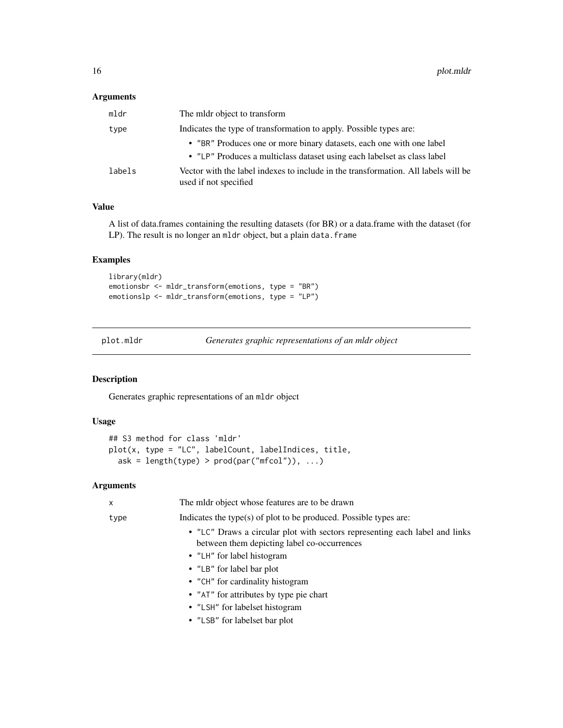## <span id="page-15-0"></span>Arguments

| mldr   | The midr object to transform                                                                                |
|--------|-------------------------------------------------------------------------------------------------------------|
| type   | Indicates the type of transformation to apply. Possible types are:                                          |
|        | • "BR" Produces one or more binary datasets, each one with one label                                        |
|        | • "LP" Produces a multiclass dataset using each labelset as class label                                     |
| labels | Vector with the label indexes to include in the transformation. All labels will be<br>used if not specified |

#### Value

A list of data.frames containing the resulting datasets (for BR) or a data.frame with the dataset (for LP). The result is no longer an mldr object, but a plain data. frame

#### Examples

```
library(mldr)
emotionsbr <- mldr_transform(emotions, type = "BR")
emotionslp <- mldr_transform(emotions, type = "LP")
```
plot.mldr *Generates graphic representations of an mldr object*

## Description

Generates graphic representations of an mldr object

## Usage

```
## S3 method for class 'mldr'
plot(x, type = "LC", labelCount, labelIndices, title,
  ask = length(type) > prod(par("mfcol")), ...)
```
## Arguments

| x    | The midr object whose features are to be drawn                                                                             |
|------|----------------------------------------------------------------------------------------------------------------------------|
| type | Indicates the type(s) of plot to be produced. Possible types are:                                                          |
|      | • "LC" Draws a circular plot with sectors representing each label and links<br>between them depicting label co-occurrences |
|      | • "LH" for label histogram                                                                                                 |
|      | • "LB" for label bar plot                                                                                                  |
|      | • "CH" for cardinality histogram                                                                                           |
|      | • "AT" for attributes by type pie chart                                                                                    |
|      | • "LSH" for labelset histogram                                                                                             |
|      | • "LSB" for labelset bar plot                                                                                              |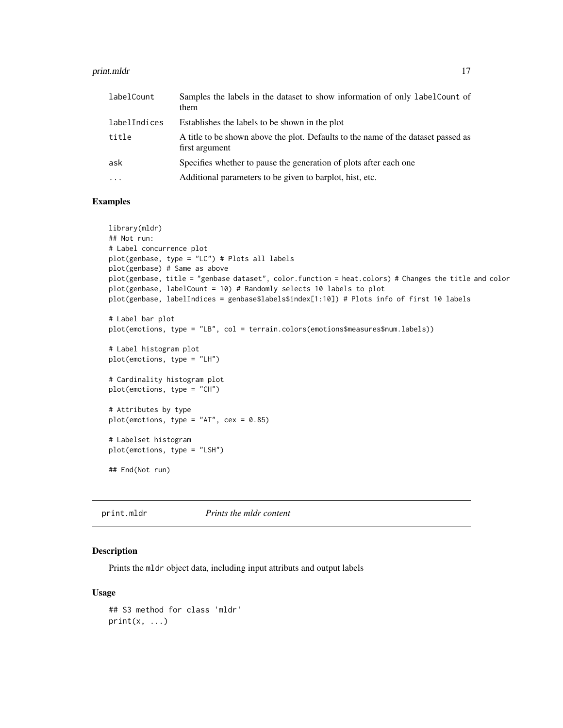#### <span id="page-16-0"></span>print.mldr that the contract of the contract of the contract of the contract of the contract of the contract of the contract of the contract of the contract of the contract of the contract of the contract of the contract o

| labelCount   | Samples the labels in the dataset to show information of only labelCount of<br>them                 |
|--------------|-----------------------------------------------------------------------------------------------------|
| labelIndices | Establishes the labels to be shown in the plot                                                      |
| title        | A title to be shown above the plot. Defaults to the name of the dataset passed as<br>first argument |
| ask          | Specifies whether to pause the generation of plots after each one                                   |
| $\cdot$      | Additional parameters to be given to barplot, hist, etc.                                            |

## Examples

```
library(mldr)
## Not run:
# Label concurrence plot
plot(genbase, type = "LC") # Plots all labels
plot(genbase) # Same as above
plot(genbase, title = "genbase dataset", color.function = heat.colors) # Changes the title and color
plot(genbase, labelCount = 10) # Randomly selects 10 labels to plot
plot(genbase, labelIndices = genbase$labels$index[1:10]) # Plots info of first 10 labels
# Label bar plot
plot(emotions, type = "LB", col = terrain.colors(emotions$measures$num.labels))
# Label histogram plot
plot(emotions, type = "LH")
# Cardinality histogram plot
plot(emotions, type = "CH")
# Attributes by type
plot(emotions, type = "AT", cex = 0.85)
# Labelset histogram
plot(emotions, type = "LSH")
## End(Not run)
```
<span id="page-16-1"></span>print.mldr *Prints the mldr content*

## Description

Prints the mldr object data, including input attributs and output labels

## Usage

```
## S3 method for class 'mldr'
print(x, \ldots)
```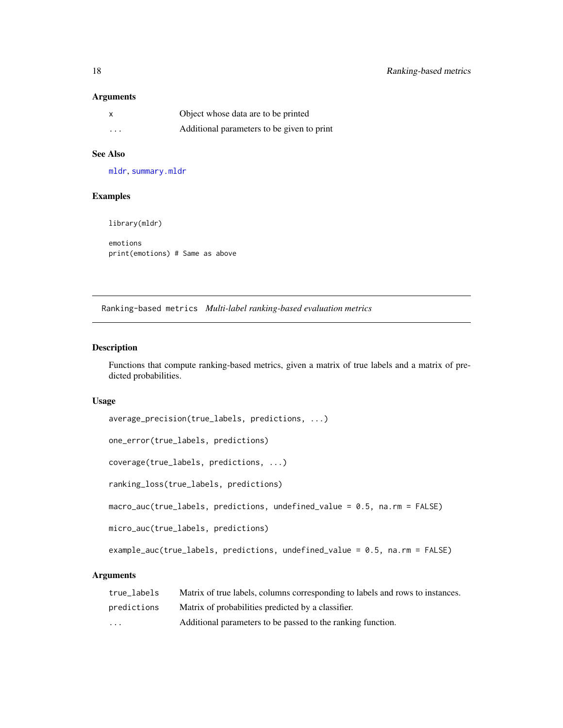## <span id="page-17-0"></span>Arguments

| X        | Object whose data are to be printed        |
|----------|--------------------------------------------|
| $\cdots$ | Additional parameters to be given to print |

## See Also

[mldr](#page-9-1), [summary.mldr](#page-22-1)

## Examples

library(mldr)

emotions print(emotions) # Same as above

<span id="page-17-1"></span>Ranking-based metrics *Multi-label ranking-based evaluation metrics*

## Description

Functions that compute ranking-based metrics, given a matrix of true labels and a matrix of predicted probabilities.

#### Usage

```
average_precision(true_labels, predictions, ...)
```
one\_error(true\_labels, predictions)

coverage(true\_labels, predictions, ...)

ranking\_loss(true\_labels, predictions)

macro\_auc(true\_labels, predictions, undefined\_value = 0.5, na.rm = FALSE)

micro\_auc(true\_labels, predictions)

example\_auc(true\_labels, predictions, undefined\_value = 0.5, na.rm = FALSE)

## Arguments

| true labels | Matrix of true labels, columns corresponding to labels and rows to instances. |
|-------------|-------------------------------------------------------------------------------|
| predictions | Matrix of probabilities predicted by a classifier.                            |
| $\cdot$     | Additional parameters to be passed to the ranking function.                   |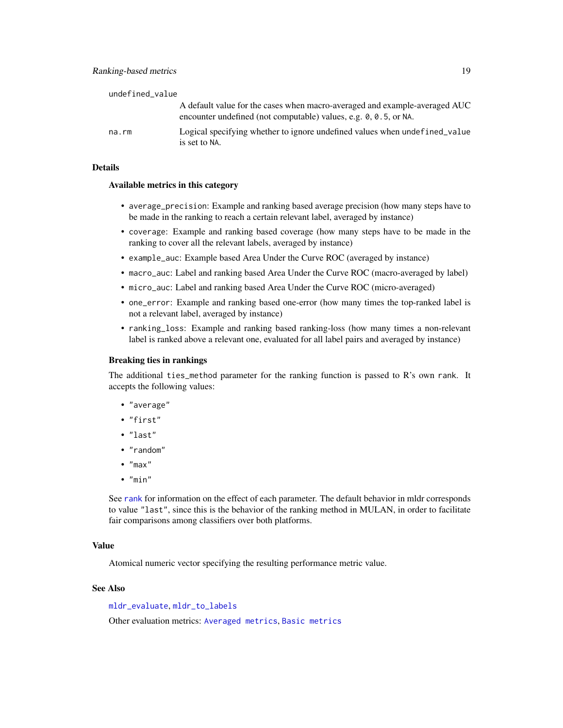<span id="page-18-0"></span>

| undefined_value |                                                                                                                                                |
|-----------------|------------------------------------------------------------------------------------------------------------------------------------------------|
|                 | A default value for the cases when macro-averaged and example-averaged AUC<br>encounter undefined (not computable) values, e.g. 0, 0.5, or NA. |
| na.rm           | Logical specifying whether to ignore undefined values when undefined value<br>is set to NA.                                                    |

## Details

#### Available metrics in this category

- average\_precision: Example and ranking based average precision (how many steps have to be made in the ranking to reach a certain relevant label, averaged by instance)
- coverage: Example and ranking based coverage (how many steps have to be made in the ranking to cover all the relevant labels, averaged by instance)
- example\_auc: Example based Area Under the Curve ROC (averaged by instance)
- macro\_auc: Label and ranking based Area Under the Curve ROC (macro-averaged by label)
- micro\_auc: Label and ranking based Area Under the Curve ROC (micro-averaged)
- one\_error: Example and ranking based one-error (how many times the top-ranked label is not a relevant label, averaged by instance)
- ranking\_loss: Example and ranking based ranking-loss (how many times a non-relevant label is ranked above a relevant one, evaluated for all label pairs and averaged by instance)

#### Breaking ties in rankings

The additional ties\_method parameter for the ranking function is passed to R's own rank. It accepts the following values:

- "average"
- "first"
- "last"
- "random"
- "max"
- "min"

See [rank](#page-0-0) for information on the effect of each parameter. The default behavior in mldr corresponds to value "last", since this is the behavior of the ranking method in MULAN, in order to facilitate fair comparisons among classifiers over both platforms.

#### Value

Atomical numeric vector specifying the resulting performance metric value.

## See Also

[mldr\\_evaluate](#page-11-1), [mldr\\_to\\_labels](#page-14-1)

Other evaluation metrics: [Averaged metrics](#page-0-0), [Basic metrics](#page-0-0)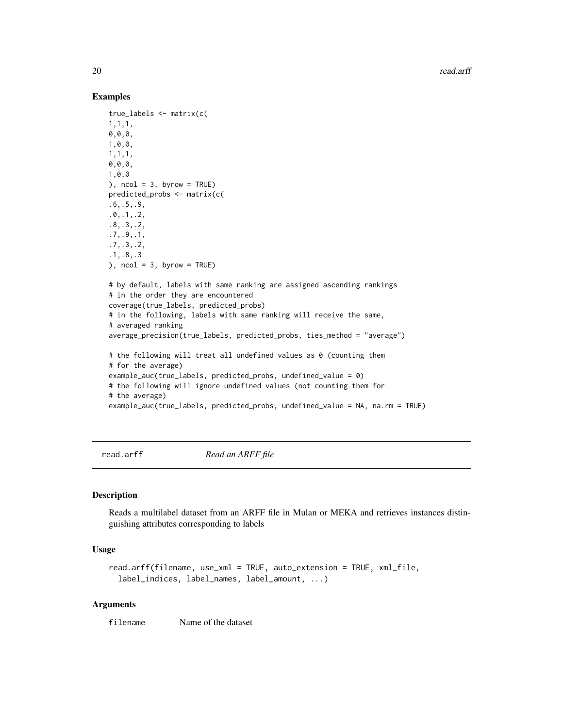#### Examples

```
true_labels <- matrix(c(
1,1,1,
0,0,0,
1,0,0,
1,1,1,
0,0,0,
1,0,0
), ncol = 3, byrow = TRUE)
predicted_probs <- matrix(c(
.6,.5,.9,
.0,.1,.2,
.8,.3,.2,
.7,.9,.1,
.7,.3,.2,
.1,.8,.3
), ncol = 3, byrow = TRUE)
# by default, labels with same ranking are assigned ascending rankings
# in the order they are encountered
coverage(true_labels, predicted_probs)
# in the following, labels with same ranking will receive the same,
# averaged ranking
average_precision(true_labels, predicted_probs, ties_method = "average")
# the following will treat all undefined values as 0 (counting them
# for the average)
example_auc(true_labels, predicted_probs, undefined_value = 0)
# the following will ignore undefined values (not counting them for
# the average)
example_auc(true_labels, predicted_probs, undefined_value = NA, na.rm = TRUE)
```
<span id="page-19-1"></span>read.arff *Read an ARFF file*

## **Description**

Reads a multilabel dataset from an ARFF file in Mulan or MEKA and retrieves instances distinguishing attributes corresponding to labels

#### Usage

```
read.arff(filename, use_xml = TRUE, auto_extension = TRUE, xml_file,
  label_indices, label_names, label_amount, ...)
```
#### Arguments

filename Name of the dataset

<span id="page-19-0"></span>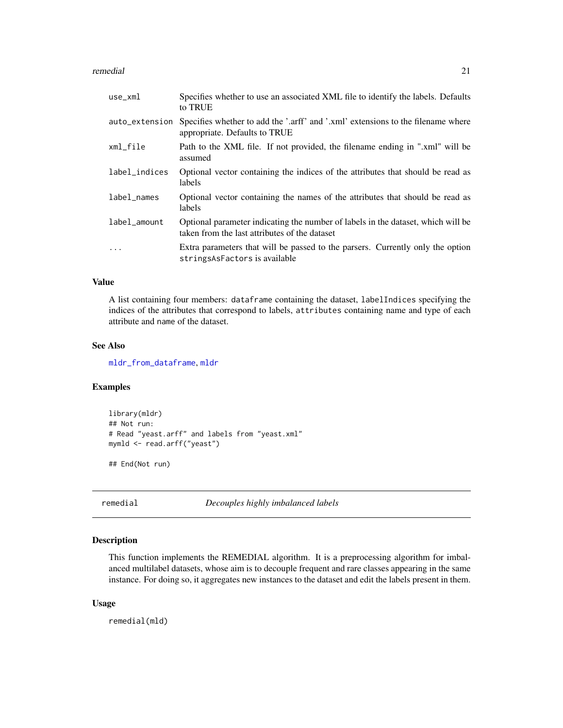#### <span id="page-20-0"></span>remedial 21

| use_xml        | Specifies whether to use an associated XML file to identify the labels. Defaults<br>to TRUE                                       |
|----------------|-----------------------------------------------------------------------------------------------------------------------------------|
| auto_extension | Specifies whether to add the '.arff' and '.xml' extensions to the filename where<br>appropriate. Defaults to TRUE                 |
| xml_file       | Path to the XML file. If not provided, the filename ending in ".xml" will be<br>assumed                                           |
| label_indices  | Optional vector containing the indices of the attributes that should be read as<br>labels                                         |
| label_names    | Optional vector containing the names of the attributes that should be read as<br>labels                                           |
| label_amount   | Optional parameter indicating the number of labels in the dataset, which will be<br>taken from the last attributes of the dataset |
| $\ddots$       | Extra parameters that will be passed to the parsers. Currently only the option<br>stringsAsFactors is available                   |

#### Value

A list containing four members: dataframe containing the dataset, labelIndices specifying the indices of the attributes that correspond to labels, attributes containing name and type of each attribute and name of the dataset.

## See Also

[mldr\\_from\\_dataframe](#page-13-1), [mldr](#page-9-1)

#### Examples

```
library(mldr)
## Not run:
# Read "yeast.arff" and labels from "yeast.xml"
mymld <- read.arff("yeast")
```
## End(Not run)

<span id="page-20-1"></span>remedial *Decouples highly imbalanced labels*

## Description

This function implements the REMEDIAL algorithm. It is a preprocessing algorithm for imbalanced multilabel datasets, whose aim is to decouple frequent and rare classes appearing in the same instance. For doing so, it aggregates new instances to the dataset and edit the labels present in them.

#### Usage

remedial(mld)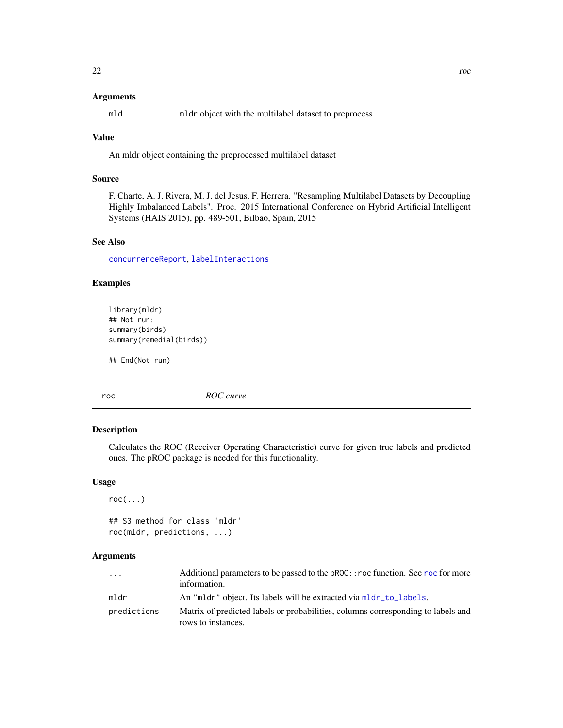#### <span id="page-21-0"></span>Arguments

mld mldr object with the multilabel dataset to preprocess

## Value

An mldr object containing the preprocessed multilabel dataset

## Source

F. Charte, A. J. Rivera, M. J. del Jesus, F. Herrera. "Resampling Multilabel Datasets by Decoupling Highly Imbalanced Labels". Proc. 2015 International Conference on Hybrid Artificial Intelligent Systems (HAIS 2015), pp. 489-501, Bilbao, Spain, 2015

## See Also

[concurrenceReport](#page-6-1), [labelInteractions](#page-8-1)

## Examples

```
library(mldr)
## Not run:
summary(birds)
summary(remedial(birds))
```
## End(Not run)

<span id="page-21-2"></span>roc *ROC curve*

## <span id="page-21-1"></span>Description

Calculates the ROC (Receiver Operating Characteristic) curve for given true labels and predicted ones. The pROC package is needed for this functionality.

#### Usage

```
roc(...)
```

```
## S3 method for class 'mldr'
roc(mldr, predictions, ...)
```
## Arguments

| $\cdots$    | Additional parameters to be passed to the pROC:: roc function. See roc for more<br>information.        |
|-------------|--------------------------------------------------------------------------------------------------------|
| mldr        | An "mldr" object. Its labels will be extracted via mldr_to_labels.                                     |
| predictions | Matrix of predicted labels or probabilities, columns corresponding to labels and<br>rows to instances. |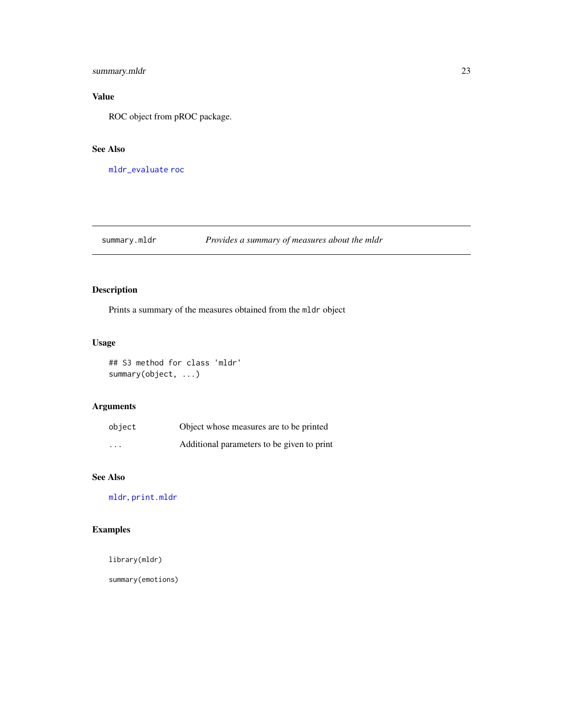## <span id="page-22-0"></span>summary.mldr 23

## Value

ROC object from pROC package.

## See Also

[mldr\\_evaluate](#page-11-1) [roc](#page-21-2)

## <span id="page-22-1"></span>summary.mldr *Provides a summary of measures about the mldr*

## Description

Prints a summary of the measures obtained from the mldr object

## Usage

## S3 method for class 'mldr' summary(object, ...)

## Arguments

| object                  | Object whose measures are to be printed    |
|-------------------------|--------------------------------------------|
| $\cdot$ $\cdot$ $\cdot$ | Additional parameters to be given to print |

## See Also

[mldr](#page-9-1), [print.mldr](#page-16-1)

## Examples

library(mldr)

summary(emotions)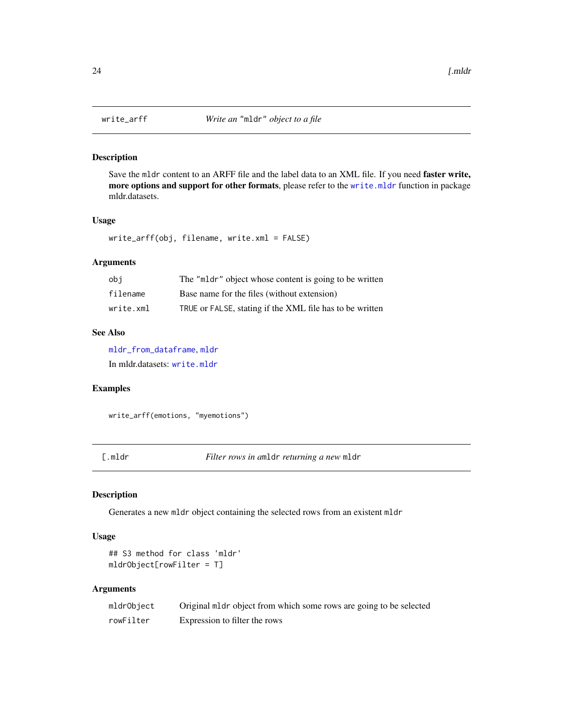<span id="page-23-0"></span>

## Description

Save the mldr content to an ARFF file and the label data to an XML file. If you need faster write, more options and support for other formats, please refer to the [write.mldr](#page-0-0) function in package mldr.datasets.

#### Usage

write\_arff(obj, filename, write.xml = FALSE)

## Arguments

| obi       | The "mldr" object whose content is going to be written   |
|-----------|----------------------------------------------------------|
| filename  | Base name for the files (without extension)              |
| write.xml | TRUE or FALSE, stating if the XML file has to be written |

## See Also

[mldr\\_from\\_dataframe](#page-13-1), [mldr](#page-9-1) In mldr.datasets: [write.mldr](#page-0-0)

## Examples

write\_arff(emotions, "myemotions")

[.mldr *Filter rows in a*mldr *returning a new* mldr

## Description

Generates a new mldr object containing the selected rows from an existent mldr

#### Usage

```
## S3 method for class 'mldr'
mldrObject[rowFilter = T]
```
#### Arguments

| mldrObject | Original mldr object from which some rows are going to be selected |
|------------|--------------------------------------------------------------------|
| rowFilter  | Expression to filter the rows                                      |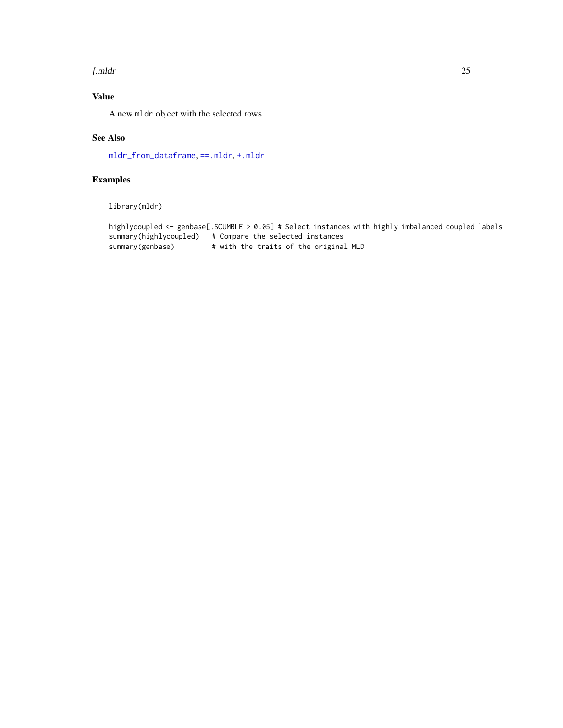#### <span id="page-24-0"></span>[.mldr 25

## Value

A new mldr object with the selected rows

## See Also

[mldr\\_from\\_dataframe](#page-13-1), [==.mldr](#page-2-2), [+.mldr](#page-1-1)

## Examples

library(mldr)

```
highlycoupled <- genbase[.SCUMBLE > 0.05] # Select instances with highly imbalanced coupled labels
summary(highlycoupled) # Compare the selected instances
summary(genbase) # with the traits of the original MLD
```